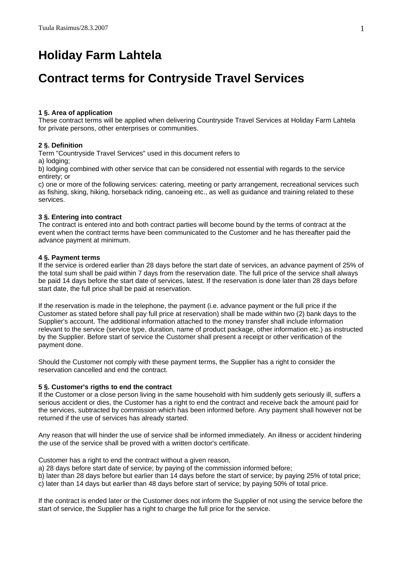# **Holiday Farm Lahtela**

## **Contract terms for Contryside Travel Services**

## **1 §. Area of application**

These contract terms will be applied when delivering Countryside Travel Services at Holiday Farm Lahtela for private persons, other enterprises or communities.

## **2 §. Definition**

Term "Countryside Travel Services" used in this document refers to

a) lodging;

b) lodging combined with other service that can be considered not essential with regards to the service entirety; or

c) one or more of the following services: catering, meeting or party arrangement, recreational services such as fishing, sking, hiking, horseback riding, canoeing etc., as well as guidance and training related to these services.

## **3 §. Entering into contract**

The contract is entered into and both contract parties will become bound by the terms of contract at the event when the contract terms have been communicated to the Customer and he has thereafter paid the advance payment at minimum.

## **4 §. Payment terms**

If the service is ordered earlier than 28 days before the start date of services, an advance payment of 25% of the total sum shall be paid within 7 days from the reservation date. The full price of the service shall always be paid 14 days before the start date of services, latest. If the reservation is done later than 28 days before start date, the full price shall be paid at reservation.

If the reservation is made in the telephone, the payment (i.e. advance payment or the full price if the Customer as stated before shall pay full price at reservation) shall be made within two (2) bank days to the Supplier's account. The additional information attached to the money transfer shall include information relevant to the service (service type, duration, name of product package, other information etc.) as instructed by the Supplier. Before start of service the Customer shall present a receipt or other verification of the payment done.

Should the Customer not comply with these payment terms, the Supplier has a right to consider the reservation cancelled and end the contract.

## **5 §. Customer's rigths to end the contract**

If the Customer or a close person living in the same household with him suddenly gets seriously ill, suffers a serious accident or dies, the Customer has a right to end the contract and receive back the amount paid for the services, subtracted by commission which has been informed before. Any payment shall however not be returned if the use of services has already started.

Any reason that will hinder the use of service shall be informed immediately. An illness or accident hindering the use of the service shall be proved with a written doctor's certificate.

Customer has a right to end the contract without a given reason,

a) 28 days before start date of service; by paying of the commission informed before;

b) later than 28 days before but earlier than 14 days before the start of service; by paying 25% of total price;

c) later than 14 days but earlier than 48 days before start of service; by paying 50% of total price.

If the contract is ended later or the Customer does not inform the Supplier of not using the service before the start of service, the Supplier has a right to charge the full price for the service.